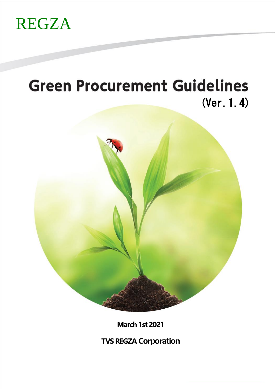

# **Green Procurement Guidelines** (Ver.1.4)



**March 1st 2021**

**TVS REGZA Corporation**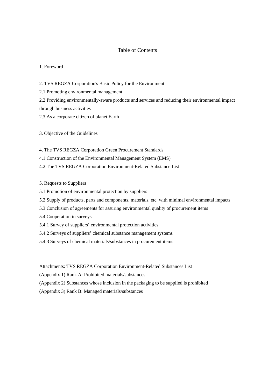#### Table of Contents

#### 1. Foreword

2. TVS REGZA Corporation's Basic Policy for the Environment

2.1 Promoting environmental management

2.2 Providing environmentally-aware products and services and reducing their environmental impact through business activities

2.3 As a corporate citizen of planet Earth

3. Objective of the Guidelines

4. The TVS REGZA Corporation Green Procurement Standards

4.1 Construction of the Environmental Management System (EMS)

4.2 The TVS REGZA Corporation Environment-Related Substance List

5. Requests to Suppliers

5.1 Promotion of environmental protection by suppliers

5.2 Supply of products, parts and components, materials, etc. with minimal environmental impacts

5.3 Conclusion of agreements for assuring environmental quality of procurement items

5.4 Cooperation in surveys

5.4.1 Survey of suppliers' environmental protection activities

5.4.2 Surveys of suppliers' chemical substance management systems

5.4.3 Surveys of chemical materials/substances in procurement items

Attachments: TVS REGZA Corporation Environment-Related Substances List

(Appendix 1) Rank A: Prohibited materials/substances

(Appendix 2) Substances whose inclusion in the packaging to be supplied is prohibited

(Appendix 3) Rank B: Managed materials/substances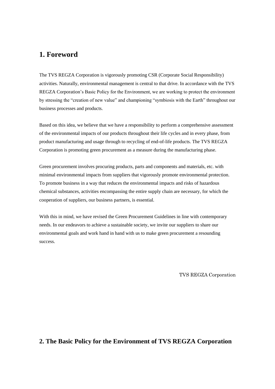## **1. Foreword**

The TVS REGZA Corporation is vigorously promoting CSR (Corporate Social Responsibility) activities. Naturally, environmental management is central to that drive. In accordance with the TVS REGZA Corporation's Basic Policy for the Environment, we are working to protect the environment by stressing the "creation of new value" and championing "symbiosis with the Earth" throughout our business processes and products.

Based on this idea, we believe that we have a responsibility to perform a comprehensive assessment of the environmental impacts of our products throughout their life cycles and in every phase, from product manufacturing and usage through to recycling of end-of-life products. The TVS REGZA Corporation is promoting green procurement as a measure during the manufacturing phase.

Green procurement involves procuring products, parts and components and materials, etc. with minimal environmental impacts from suppliers that vigorously promote environmental protection. To promote business in a way that reduces the environmental impacts and risks of hazardous chemical substances, activities encompassing the entire supply chain are necessary, for which the cooperation of suppliers, our business partners, is essential.

With this in mind, we have revised the Green Procurement Guidelines in line with contemporary needs. In our endeavors to achieve a sustainable society, we invite our suppliers to share our environmental goals and work hand in hand with us to make green procurement a resounding success.

TVS REGZA Corporation

## **2. The Basic Policy for the Environment of TVS REGZA Corporation**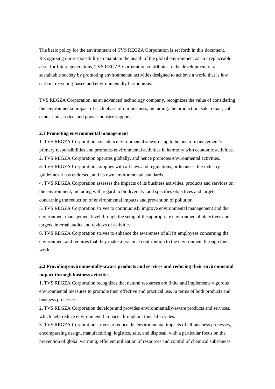The basic policy for the environment of TVS REGZA Corporation is set forth in this document. Recognizing our responsibility to maintain the health of the global environment as an irreplaceable asset for future generations, TVS REGZA Corporation contributes to the development of a sustainable society by promoting environmental activities designed to achieve a world that is low carbon, recycling-based and environmentally harmonious.

TVS REGZA Corporation, as an advanced technology company, recognizes the value of considering the environmental impact of each phase of our business, including: the production, sale, repair, call center and service, and power industry support.

#### **2.1 Promoting environmental management**

1. TVS REGZA Corporation considers environmental stewardship to be one of management's primary responsibilities and promotes environmental activities in harmony with economic activities. 2. TVS REGZA Corporation operates globally, and hence promotes environmental activities. 3. TVS REGZA Corporation complies with all laws and regulations, ordinances, the industry guidelines it has endorsed, and its own environmental standards.

4. TVS REGZA Corporation assesses the impacts of its business activities, products and services on the environment, including with regard to biodiversity, and specifies objectives and targets concerning the reduction of environmental impacts and prevention of pollution.

5. TVS REGZA Corporation strives to continuously improve environmental management and the environment management level through the setup of the appropriate environmental objectives and targets, internal audits and reviews of activities.

6. TVS REGZA Corporation strives to enhance the awareness of all its employees concerning the environment and requires that they make a practical contribution to the environment through their work.

## **2.2 Providing environmentally-aware products and services and reducing their environmental impact through business activities**

1. TVS REGZA Corporation recognizes that natural resources are finite and implements vigorous environmental measures to promote their effective and practical use, in terms of both products and business processes.

2. TVS REGZA Corporation develops and provides environmentally-aware products and services, which help reduce environmental impacts throughout their life cycles.

3. TVS REGZA Corporation strives to reduce the environmental impacts of all business processes, encompassing design, manufacturing, logistics, sale, and disposal, with a particular focus on the prevention of global warming, efficient utilization of resources and control of chemical substances.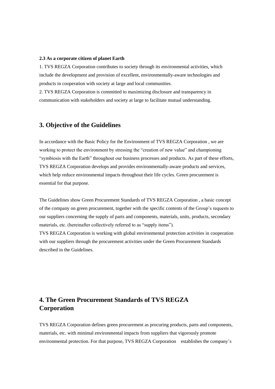#### **2.3 As a corporate citizen of planet Earth**

1. TVS REGZA Corporation contributes to society through its environmental activities, which include the development and provision of excellent, environmentally-aware technologies and products in cooperation with society at large and local communities.

2. TVS REGZA Corporation is committed to maximizing disclosure and transparency in communication with stakeholders and society at large to facilitate mutual understanding.

### **3. Objective of the Guidelines**

In accordance with the Basic Policy for the Environment of TVS REGZA Corporation , we are working to protect the environment by stressing the "creation of new value" and championing "symbiosis with the Earth" throughout our business processes and products. As part of these efforts, TVS REGZA Corporation develops and provides environmentally-aware products and services, which help reduce environmental impacts throughout their life cycles. Green procurement is essential for that purpose.

The Guidelines show Green Procurement Standards of TVS REGZA Corporation , a basic concept of the company on green procurement, together with the specific contents of the Group's requests to our suppliers concerning the supply of parts and components, materials, units, products, secondary materials, etc. (hereinafter collectively referred to as "supply items").

TVS REGZA Corporation is working with global environmental protection activities in cooperation with our suppliers through the procurement activities under the Green Procurement Standards described in the Guidelines.

# **4. The Green Procurement Standards of TVS REGZA Corporation**

TVS REGZA Corporation defines green procurement as procuring products, parts and components, materials, etc. with minimal environmental impacts from suppliers that vigorously promote environmental protection. For that purpose, TVS REGZA Corporation establishes the company's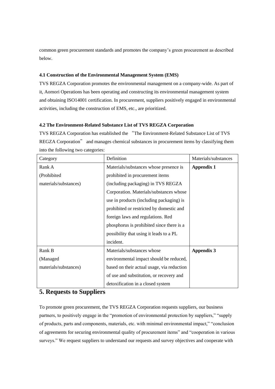common green procurement standards and promotes the company's green procurement as described below.

#### **4.1 Construction of the Environmental Management System (EMS)**

TVS REGZA Corporation promotes the environmental management on a company-wide. As part of it, Aomori Operations has been operating and constructing its environmental management system and obtaining ISO14001 certification. In procurement, suppliers positively engaged in environmental activities, including the construction of EMS, etc., are prioritized.

#### **4.2 The Environment-Related Substance List of TVS REGZA Corporation**

TVS REGZA Corporation has established the "The Environment-Related Substance List of TVS REGZA Corporation" and manages chemical substances in procurement items by classifying them into the following two categories:

| Category              | Definition                                 | Materials/substances |
|-----------------------|--------------------------------------------|----------------------|
| Rank A                | Materials/substances whose presence is     | <b>Appendix 1</b>    |
| (Prohibited           | prohibited in procurement items            |                      |
| materials/substances) | (including packaging) in TVS REGZA         |                      |
|                       | Corporation. Materials/substances whose    |                      |
|                       | use in products (including packaging) is   |                      |
|                       | prohibited or restricted by domestic and   |                      |
|                       | foreign laws and regulations. Red          |                      |
|                       | phosphorus is prohibited since there is a  |                      |
|                       | possibility that using it leads to a PL    |                      |
|                       | incident.                                  |                      |
| Rank B                | Materials/substances whose                 | <b>Appendix 3</b>    |
| (Managed)             | environmental impact should be reduced,    |                      |
| materials/substances) | based on their actual usage, via reduction |                      |
|                       | of use and substitution, or recovery and   |                      |
|                       | detoxification in a closed system          |                      |

## **5. Requests to Suppliers**

To promote green procurement, the TVS REGZA Corporation requests suppliers, our business partners, to positively engage in the "promotion of environmental protection by suppliers," "supply of products, parts and components, materials, etc. with minimal environmental impact," "conclusion of agreements for securing environmental quality of procurement items" and "cooperation in various surveys." We request suppliers to understand our requests and survey objectives and cooperate with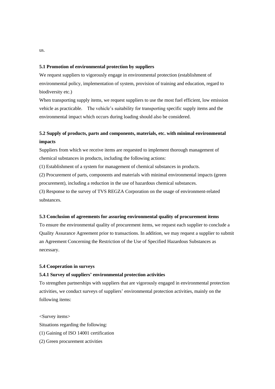#### **5.1 Promotion of environmental protection by suppliers**

We request suppliers to vigorously engage in environmental protection (establishment of environmental policy, implementation of system, provision of training and education, regard to biodiversity etc.)

When transporting supply items, we request suppliers to use the most fuel efficient, low emission vehicle as practicable. The vehicle's suitability for transporting specific supply items and the environmental impact which occurs during loading should also be considered.

## **5.2 Supply of products, parts and components, materials, etc. with minimal environmental impacts**

Suppliers from which we receive items are requested to implement thorough management of chemical substances in products, including the following actions:

(1) Establishment of a system for management of chemical substances in products.

(2) Procurement of parts, components and materials with minimal environmental impacts (green procurement), including a reduction in the use of hazardous chemical substances.

(3) Response to the survey of TVS REGZA Corporation on the usage of environment-related substances.

#### **5.3 Conclusion of agreements for assuring environmental quality of procurement items**

To ensure the environmental quality of procurement items, we request each supplier to conclude a Quality Assurance Agreement prior to transactions. In addition, we may request a supplier to submit an Agreement Concerning the Restriction of the Use of Specified Hazardous Substances as necessary.

#### **5.4 Cooperation in surveys**

#### **5.4.1 Survey of suppliers' environmental protection activities**

To strengthen partnerships with suppliers that are vigorously engaged in environmental protection activities, we conduct surveys of suppliers' environmental protection activities, mainly on the following items:

<Survey items>

Situations regarding the following:

- (1) Gaining of ISO 14001 certification
- (2) Green procurement activities

us.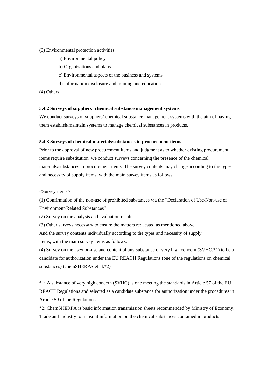#### (3) Environmental protection activities

- a) Environmental policy
- b) Organizations and plans
- c) Environmental aspects of the business and systems
- d) Information disclosure and training and education
- (4) Others

#### **5.4.2 Surveys of suppliers' chemical substance management systems**

We conduct surveys of suppliers' chemical substance management systems with the aim of having them establish/maintain systems to manage chemical substances in products.

#### **5.4.3 Surveys of chemical materials/substances in procurement items**

Prior to the approval of new procurement items and judgment as to whether existing procurement items require substitution, we conduct surveys concerning the presence of the chemical materials/substances in procurement items. The survey contents may change according to the types and necessity of supply items, with the main survey items as follows:

<Survey items>

(1) Confirmation of the non-use of prohibited substances via the "Declaration of Use/Non-use of Environment-Related Substances"

(2) Survey on the analysis and evaluation results

(3) Other surveys necessary to ensure the matters requested as mentioned above

And the survey contents individually according to the types and necessity of supply items, with the main survey items as follows:

(4) Survey on the use/non-use and content of any substance of very high concern (SVHC,\*1) to be a candidate for authorization under the EU REACH Regulations (one of the regulations on chemical substances) (chemSHERPA et al.\*2)

\*1: A substance of very high concern (SVHC) is one meeting the standards in Article 57 of the EU REACH Regulations and selected as a candidate substance for authorization under the procedures in Article 59 of the Regulations.

\*2: ChemSHERPA is basic information transmission sheets recommended by Ministry of Economy, Trade and Industry to transmit information on the chemical substances contained in products.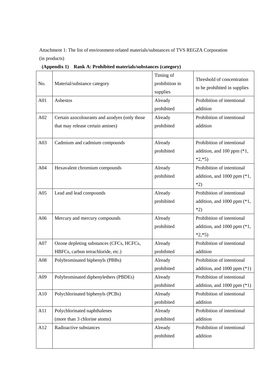Attachment 1: The list of environment-related materials/substances of TVS REGZA Corporation (in products)

**(Appendix 1) Rank A: Prohibited materials/substances (category)**

| No. | Material/substance category                   | Timing of<br>Threshold of concentration<br>prohibition in<br>to be prohibited in supplies<br>supplies |                                 |
|-----|-----------------------------------------------|-------------------------------------------------------------------------------------------------------|---------------------------------|
| A01 | Asbestos                                      | Already                                                                                               | Prohibition of intentional      |
|     |                                               | prohibited                                                                                            | addition                        |
| A02 | Certain azocolourants and azodyes (only those | Already                                                                                               | Prohibition of intentional      |
|     | that may release certain amines)              | prohibited                                                                                            | addition                        |
| A03 | Cadmium and cadmium compounds                 | Already                                                                                               | Prohibition of intentional      |
|     |                                               | prohibited                                                                                            | addition, and $100$ ppm $(*1,$  |
|     |                                               |                                                                                                       | $*2, *5)$                       |
| A04 | Hexavalent chromium compounds                 | Already                                                                                               | Prohibition of intentional      |
|     |                                               | prohibited                                                                                            | addition, and $1000$ ppm $(*1,$ |
|     |                                               |                                                                                                       | $*2)$                           |
| A05 | Lead and lead compounds                       | Already                                                                                               | Prohibition of intentional      |
|     |                                               | prohibited                                                                                            | addition, and 1000 ppm (*1,     |
|     |                                               |                                                                                                       | $*2)$                           |
| A06 | Mercury and mercury compounds                 | Already                                                                                               | Prohibition of intentional      |
|     |                                               | prohibited                                                                                            | addition, and $1000$ ppm $(*1,$ |
|     |                                               |                                                                                                       | $*2, *5)$                       |
| A07 | Ozone depleting substances (CFCs, HCFCs,      | Already                                                                                               | Prohibition of intentional      |
|     | HBFCs, carbon tetrachloride, etc.)            | prohibited                                                                                            | addition                        |
| A08 | Polybrominated biphenyls (PBBs)               | Already                                                                                               | Prohibition of intentional      |
|     |                                               | prohibited                                                                                            | addition, and $1000$ ppm $(*1)$ |
| A09 | Polybrominated diphenylethers (PBDEs)         | Already                                                                                               | Prohibition of intentional      |
|     |                                               | prohibited                                                                                            | addition, and $1000$ ppm $(*1)$ |
| A10 | Polychlorinated biphenyls (PCBs)              | Already                                                                                               | Prohibition of intentional      |
|     |                                               | prohibited                                                                                            | addition                        |
| A11 | Polychlorinated naphthalenes                  | Already                                                                                               | Prohibition of intentional      |
|     | (more than 3 chlorine atoms)                  | prohibited                                                                                            | addition                        |
| A12 | Radioactive substances                        | Already                                                                                               | Prohibition of intentional      |
|     |                                               | prohibited                                                                                            | addition                        |
|     |                                               |                                                                                                       |                                 |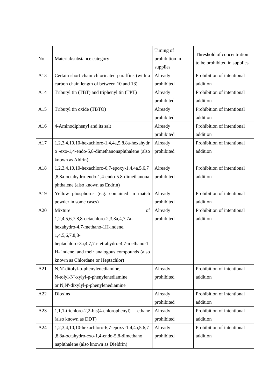| No. | Material/substance category                       | Timing of<br>Threshold of concentration<br>prohibition in<br>to be prohibited in supplies<br>supplies |                            |
|-----|---------------------------------------------------|-------------------------------------------------------------------------------------------------------|----------------------------|
| A13 | Certain short chain chlorinated paraffins (with a | Already                                                                                               | Prohibition of intentional |
|     | carbon chain length of between 10 and 13)         | prohibited                                                                                            | addition                   |
| A14 | Tributyl tin (TBT) and triphenyl tin (TPT)        | Already                                                                                               | Prohibition of intentional |
|     |                                                   | prohibited                                                                                            | addition                   |
| A15 | Tributyl tin oxide (TBTO)                         | Already                                                                                               | Prohibition of intentional |
|     |                                                   | prohibited                                                                                            | addition                   |
| A16 | 4-Aminodiphenyl and its salt                      | Already                                                                                               | Prohibition of intentional |
|     |                                                   | prohibited                                                                                            | addition                   |
| A17 | 1,2,3,4,10,10-hexachloro-1,4,4a,5,8,8a-hexahydr   | Already                                                                                               | Prohibition of intentional |
|     | o -exo-1,4-endo-5,8-dimethanonaphthalene (also    | prohibited                                                                                            | addition                   |
|     | known as Aldrin)                                  |                                                                                                       |                            |
| A18 | 1,2,3,4,10,10-hexachloro-6,7-epoxy-1,4,4a,5,6,7   | Already                                                                                               | Prohibition of intentional |
|     | ,8,8a-octahydro-endo-1,4-endo-5.8-dimethanona     | prohibited                                                                                            | addition                   |
|     | phthalene (also known as Endrin)                  |                                                                                                       |                            |
| A19 | Yellow phosphorus (e.g. contained in match        | Already                                                                                               | Prohibition of intentional |
|     | powder in some cases)                             | prohibited                                                                                            | addition                   |
| A20 | Mixture<br>of                                     | Already                                                                                               | Prohibition of intentional |
|     | 1,2,4,5,6,7,8,8-octachloro-2,3,3a,4,7,7a-         | prohibited                                                                                            | addition                   |
|     | hexahydro-4,7-methano-1H-indene,                  |                                                                                                       |                            |
|     | $1,4,5,6,7,8,8$ -                                 |                                                                                                       |                            |
|     | heptachloro-3a,4,7,7a-tetrahydro-4,7-methano-1    |                                                                                                       |                            |
|     | H- indene, and their analogous compounds (also    |                                                                                                       |                            |
|     | known as Chlordane or Heptachlor)                 |                                                                                                       |                            |
| A21 | N,N'-ditolyl-p-phenylenediamine,                  | Already                                                                                               | Prohibition of intentional |
|     | N-tolyl-N'-xylyl-p-phenylenediamine               | prohibited                                                                                            | addition                   |
|     | or N,N'-dixylyl-p-phenylenediamine                |                                                                                                       |                            |
| A22 | Dioxins                                           | Already                                                                                               | Prohibition of intentional |
|     |                                                   | prohibited                                                                                            | addition                   |
| A23 | 1,1,1-trichloro-2,2-bis(4-chlorophenyl)<br>ethane | Already                                                                                               | Prohibition of intentional |
|     | (also known as DDT)                               | prohibited                                                                                            | addition                   |
| A24 | 1,2,3,4,10,10-hexachloro-6,7-epoxy-1,4,4a,5,6,7   | Already                                                                                               | Prohibition of intentional |
|     | ,8,8a-octahydro-exo-1,4-endo-5,8-dimethano        | prohibited                                                                                            | addition                   |
|     | naphthalene (also known as Dieldrin)              |                                                                                                       |                            |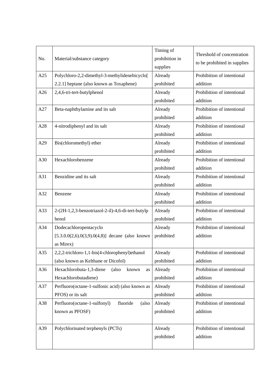| No. | Material/substance category                       | Timing of<br>prohibition in<br>supplies | Threshold of concentration<br>to be prohibited in supplies |
|-----|---------------------------------------------------|-----------------------------------------|------------------------------------------------------------|
| A25 | Polychloro-2,2-dimethyl-3-methylidenebicyclo[     | Already                                 | Prohibition of intentional                                 |
|     | 2.2.1] heptane (also known as Toxaphene)          | prohibited                              | addition                                                   |
| A26 | 2,4,6-tri-tert-butylphenol                        | Already                                 | Prohibition of intentional                                 |
|     |                                                   | prohibited                              | addition                                                   |
| A27 | Beta-naphthylamine and its salt                   | Already                                 | Prohibition of intentional                                 |
|     |                                                   | prohibited                              | addition                                                   |
| A28 | 4-nitrodiphenyl and its salt                      | Already                                 | Prohibition of intentional                                 |
|     |                                                   | prohibited                              | addition                                                   |
| A29 | Bis(chloromethyl) ether                           | Already                                 | Prohibition of intentional                                 |
|     |                                                   | prohibited                              | addition                                                   |
| A30 | Hexachlorobenzene                                 | Already                                 | Prohibition of intentional                                 |
|     |                                                   | prohibited                              | addition                                                   |
| A31 | Benzidine and its salt                            | Already                                 | Prohibition of intentional                                 |
|     |                                                   | prohibited                              | addition                                                   |
| A32 | Benzene                                           | Already                                 | Prohibition of intentional                                 |
|     |                                                   | prohibited                              | addition                                                   |
| A33 | 2-(2H-1,2,3-benzotriazol-2-il)-4,6-di-tert-butylp | Already                                 | Prohibition of intentional                                 |
|     | henol                                             | prohibited                              | addition                                                   |
| A34 | Dodecachloropentacyclo                            | Already                                 | Prohibition of intentional                                 |
|     | $[5.3.0.0(2,6).0(3,9).0(4,8)]$ decane (also known | prohibited                              | addition                                                   |
|     | as Mirex)                                         |                                         |                                                            |
| A35 | 2,2,2-trichloro-1,1-bis(4-chlorophenyl)ethanol    | Already                                 | Prohibition of intentional                                 |
|     | (also known as Kelthane or Dicofol)               | prohibited                              | addition                                                   |
| A36 | Hexachlorobuta-1,3-diene<br>known<br>(also<br>as  | Already                                 | Prohibition of intentional                                 |
|     | Hexachlorobutadiene)                              | prohibited                              | addition                                                   |
| A37 | Perfluoro(octane-1-sulfonic acid) (also known as  | Already                                 | Prohibition of intentional                                 |
|     | PFOS) or its salt                                 | prohibited                              | addition                                                   |
| A38 | fluoride<br>Perfluoro(octane-1-sulfonyl)<br>(also | Already                                 | Prohibition of intentional                                 |
|     | known as PFOSF)                                   | prohibited                              | addition                                                   |
|     |                                                   |                                         |                                                            |
| A39 | Polychlorinated terphenyls (PCTs)                 | Already                                 | Prohibition of intentional                                 |
|     |                                                   | prohibited                              | addition                                                   |
|     |                                                   |                                         |                                                            |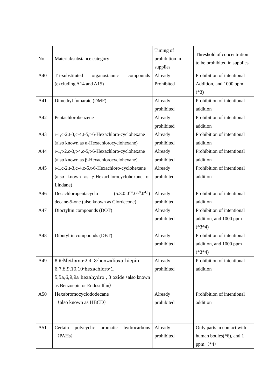| No. | Material/substance category                                                                                                                        | Timing of<br>prohibition in<br>supplies | Threshold of concentration<br>to be prohibited in supplies              |
|-----|----------------------------------------------------------------------------------------------------------------------------------------------------|-----------------------------------------|-------------------------------------------------------------------------|
| A40 | Tri-substituted<br>organostannic<br>compounds<br>(excluding A14 and A15)                                                                           | Already<br>Prohibited                   | Prohibition of intentional<br>Addition, and 1000 ppm<br>$(*3)$          |
| A41 | Dimethyl fumarate (DMF)                                                                                                                            | Already<br>prohibited                   | Prohibition of intentional<br>addition                                  |
| A42 | Pentachlorobenzene                                                                                                                                 | Already<br>prohibited                   | Prohibition of intentional<br>addition                                  |
| A43 | r-1,c-2,t-3,c-4,t-5,t-6-Hexachloro-cyclohexane<br>(also known as a-Hexachlorocyclohexane)                                                          | Already<br>prohibited                   | Prohibition of intentional<br>addition                                  |
| A44 | r-1,t-2,c-3,t-4,c-5,t-6-Hexachloro-cyclohexane<br>(also known as $\beta$ -Hexachlorocyclohexane)                                                   | Already<br>prohibited                   | Prohibition of intentional<br>addition                                  |
| A45 | r-1,c-2,t-3,c-4,c-5,t-6-Hexachloro-cyclohexane<br>(also known as γ-Hexachlorocyclohexane or<br>Lindane)                                            | Already<br>prohibited                   | Prohibition of intentional<br>addition                                  |
| A46 | $(5.3.0.0^{2,6} \cdot 0^{3,9} \cdot 0^{4,8})$<br>Decachloropentacyclo<br>decane-5-one (also known as Clordecone)                                   | Already<br>prohibited                   | Prohibition of intentional<br>addition                                  |
| A47 | Dioctyltin compounds (DOT)                                                                                                                         | Already<br>prohibited                   | Prohibition of intentional<br>addition, and 1000 ppm<br>$(*3*4)$        |
| A48 | Dibutyltin compounds (DBT)                                                                                                                         | Already<br>prohibited                   | Prohibition of intentional<br>addition, and 1000 ppm<br>$(*3*4)$        |
| A49 | 6,9 Methano 2,4, 3 benzodioxathiepin,<br>6,7,8,9,10,10-hexachloro-1,<br>5,5a,6,9,9a-hexahydro-, 3-oxide (also known<br>as Benzoepin or Endosulfan) | Already<br>prohibited                   | Prohibition of intentional<br>addition                                  |
| A50 | Hexabromocyclododecane<br>(also known as HBCD)                                                                                                     | Already<br>prohibited                   | Prohibition of intentional<br>addition                                  |
| A51 | hydrocarbons<br>Certain<br>polycyclic<br>aromatic<br>(PAHs)                                                                                        | Already<br>prohibited                   | Only parts in contact with<br>human bodies $(*6)$ , and 1<br>ppm $(*4)$ |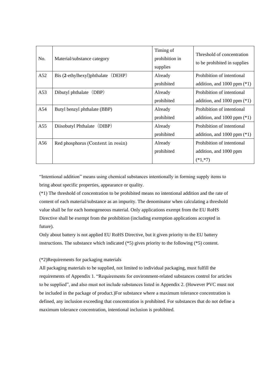| No. | Material/substance category        | Timing of<br>prohibition in<br>supplies | Threshold of concentration<br>to be prohibited in supplies |
|-----|------------------------------------|-----------------------------------------|------------------------------------------------------------|
| A52 | Bis (2-ethylhexyl)phthalate (DEHP) | Already                                 | Prohibition of intentional                                 |
|     |                                    | prohibited                              | addition, and $1000$ ppm $(*1)$                            |
| A53 | Dibutyl phthalate (DBP)            | Already                                 | Prohibition of intentional                                 |
|     |                                    | prohibited                              | addition, and $1000$ ppm $(*1)$                            |
| A54 | Butyl benzyl phthalate (BBP)       | Already                                 | Prohibition of intentional                                 |
|     |                                    | prohibited                              | addition, and $1000$ ppm $(*1)$                            |
| A55 | Diisobutyl Phthalate (DIBP)        | Already                                 | Prohibition of intentional                                 |
|     |                                    | prohibited                              | addition, and $1000$ ppm $(*1)$                            |
| A56 | Red phosphorus (Content in resin)  | Already                                 | Prohibition of intentional                                 |
|     |                                    | prohibited                              | addition, and 1000 ppm                                     |
|     |                                    |                                         | $(*1, *7)$                                                 |

"Intentional addition" means using chemical substances intentionally in forming supply items to bring about specific properties, appearance or quality.

(\*1) The threshold of concentration to be prohibited means no intentional addition and the rate of content of each material/substance as an impurity. The denominator when calculating a threshold value shall be for each homogeneous material. Only applications exempt from the EU RoHS Directive shall be exempt from the prohibition (including exemption applications accepted in future).

Only about battery is not applied EU RoHS Directive, but it given priority to the EU battery instructions. The substance which indicated (\*5) gives priority to the following (\*5) content.

#### (\*2)Requirements for packaging materials

All packaging materials to be supplied, not limited to individual packaging, must fulfill the requirements of Appendix 1. "Requirements for environment-related substances control for articles to be supplied", and also must not include substances listed in Appendix 2. (However PVC must not be included in the package of product.)For substance where a maximum tolerance concentration is defined, any inclusion exceeding that concentration is prohibited. For substances that do not define a maximum tolerance concentration, intentional inclusion is prohibited.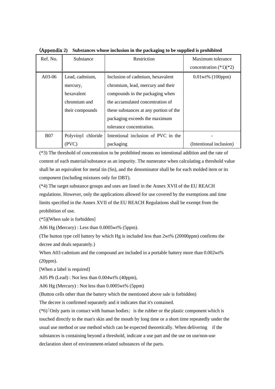| Ref. No.   | Substance          | Restriction                            | Maximum tolerance        |
|------------|--------------------|----------------------------------------|--------------------------|
|            |                    |                                        | concentration $(*1)(*2)$ |
| A03-06     | Lead, cadmium,     | Inclusion of cadmium, hexavalent       | 0.01wt% (100ppm)         |
|            | mercury,           | chromium, lead, mercury and their      |                          |
|            | hexavalent         | compounds in the packaging when        |                          |
|            | chromium and       | the accumulated concentration of       |                          |
|            | their compounds    | these substances at any portion of the |                          |
|            |                    | packaging exceeds the maximum          |                          |
|            |                    | tolerance concentration.               |                          |
| <b>B07</b> | Polyvinyl chloride | Intentional inclusion of PVC in the    |                          |
|            | (PVC)              | packaging                              | (Intentional inclusion)  |

(Appendix **2) Substances whose inclusion in the packaging to be supplied is prohibited**

(\*3) The threshold of concentration to be prohibited means no intentional addition and the rate of content of each material/substance as an impurity. The numerator when calculating a threshold value shall be an equivalent for metal tin (Sn), and the denominator shall be for each molded item or its component (including mixtures only for DBT).

(\*4) The target substance groups and uses are listed in the Annex XVII of the EU REACH regulations. However, only the applications allowed for use covered by the exemptions and time limits specified in the Annex XVII of the EU REACH Regulations shall be exempt from the prohibition of use.

(\*5)[When sale is forbidden]

A06 Hg (Mercury) : Less than 0.0005wt% (5ppm).

(The button type cell battery by which Hg is included less than 2wt% (20000ppm) confirms the decree and deals separately.)

When A03 cadmium and the compound are included in a portable battery more than 0.002wt% (20ppm).

[When a label is required]

A05 Pb (Lead) : Not less than 0.004wt% (40ppm),

A06 Hg (Mercury) : Not less than 0.0005wt% (5ppm)

(Button cells other than the battery which the mentioned above sale is forbidden)

The decree is confirmed separately and it indicates that it's contained.

(\*6)「Only parts in contact with human bodies」 is the rubber or the plastic component which is touched directly to the man's skin and the mouth by long time or a short time repeatedly under the usual use method or use method which can be expected theoretically. When delivering if the substances is containing beyond a threshold, indicate a use part and the use on use/non-use declaration sheet of environment-related substances of the parts.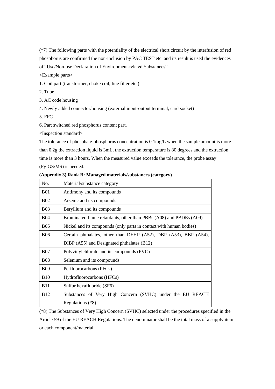(\*7) The following parts with the potentiality of the electrical short circuit by the interfusion of red phosphorus are confirmed the non-inclusion by PAC TEST etc. and its result is used the evidences of "Use/Non-use Declaration of Environment-related Substances"

<Example parts>

1. Coil part (transformer, choke coil, line filter etc.)

2. Tube

3. AC code housing

4. Newly added connector/housing (external input-output terminal, card socket)

5. FFC

6. Part switched red phosphorus content part.

<Inspection standard>

The tolerance of phosphate-phosphorus concentration is 0.1mg/L when the sample amount is more than 0.2g the extraction liquid is 3mL, the extraction temperature is 80 degrees and the extraction time is more than 3 hours. When the measured value exceeds the tolerance, the probe assay (Py-GS/MS) is needed.

| No.        | Material/substance category                                        |  |
|------------|--------------------------------------------------------------------|--|
| <b>B01</b> | Antimony and its compounds                                         |  |
| <b>B02</b> | Arsenic and its compounds                                          |  |
| <b>B03</b> | Beryllium and its compounds                                        |  |
| <b>B04</b> | Brominated flame retardants, other than PBBs (A08) and PBDEs (A09) |  |
| <b>B05</b> | Nickel and its compounds (only parts in contact with human bodies) |  |
| <b>B06</b> | Certain phthalates, other than DEHP (A52), DBP (A53), BBP (A54),   |  |
|            | DIBP (A55) and Designated phthalates (B12)                         |  |
| <b>B07</b> | Polyvinylchloride and its compounds (PVC)                          |  |
| <b>B08</b> | Selenium and its compounds                                         |  |
| <b>B09</b> | Perfluorocarbons (PFCs)                                            |  |
| <b>B10</b> | Hydrofluorocarbons (HFCs)                                          |  |
| <b>B11</b> | Sulfur hexafluoride (SF6)                                          |  |
| <b>B12</b> | Substances of Very High Concern (SVHC) under the EU REACH          |  |
|            | Regulations (*8)                                                   |  |

**(Appendix 3) Rank B: Managed materials/substances (category)**

(\*8) The Substances of Very High Concern (SVHC) selected under the procedures specified in the Article 59 of the EU REACH Regulations. The denominator shall be the total mass of a supply item or each component/material.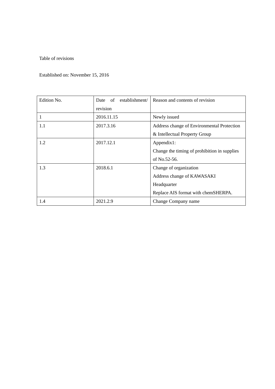#### Table of revisions

#### Established on: November 15, 2016

| Edition No. | establishment/<br>of<br>Date | Reason and contents of revision              |
|-------------|------------------------------|----------------------------------------------|
|             | revision                     |                                              |
|             | 2016.11.15                   | Newly issued                                 |
| 1.1         | 2017.3.16                    | Address change of Environmental Protection   |
|             |                              | & Intellectual Property Group                |
| 1.2         | 2017.12.1                    | Appendix1:                                   |
|             |                              | Change the timing of prohibition in supplies |
|             |                              | of No.52-56.                                 |
| 1.3         | 2018.6.1                     | Change of organization                       |
|             |                              | Address change of KAWASAKI                   |
|             |                              | Headquarter                                  |
|             |                              | Replace AIS format with chemSHERPA.          |
| 1.4         | 2021.2.9                     | Change Company name                          |